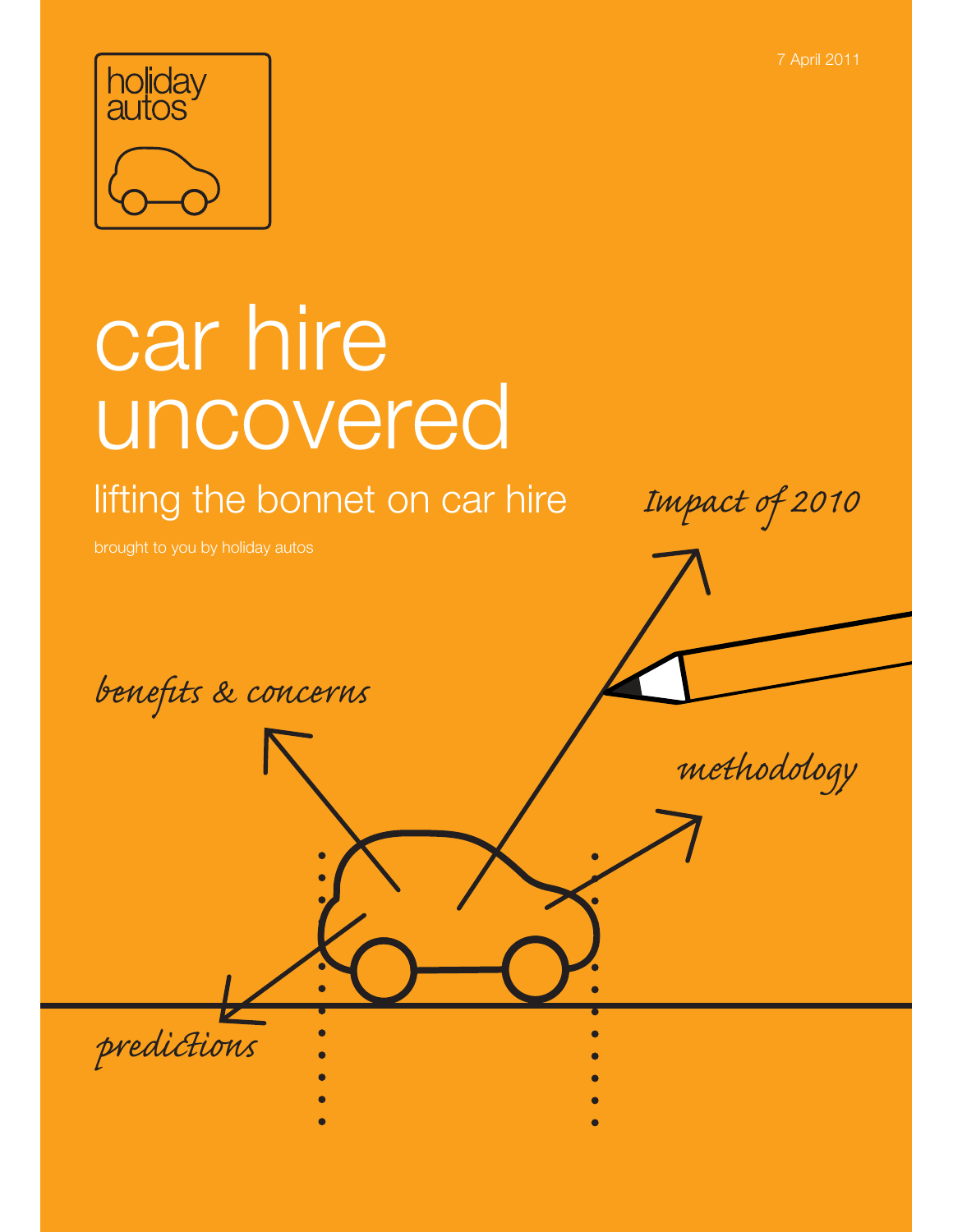7 April 2011



# car hire uncovered

lifting the bonnet on car hire

Impact of 2010

brought to you by holiday autos

benefits & concerns

methodology

predictions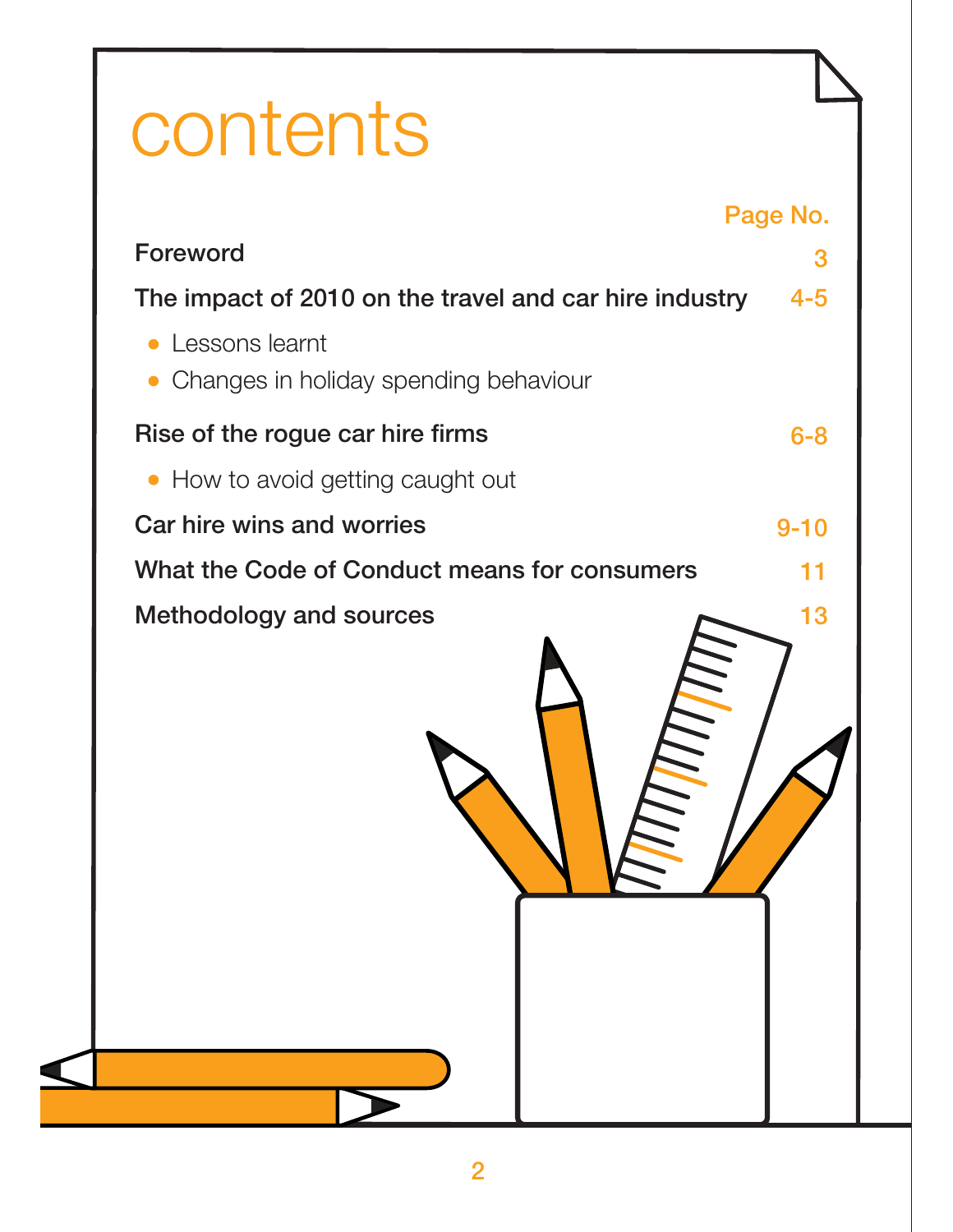## contents

|                                                                      | Page No. |
|----------------------------------------------------------------------|----------|
| Foreword                                                             | 3        |
| The impact of 2010 on the travel and car hire industry               | $4 - 5$  |
| Lessons learnt<br>Changes in holiday spending behaviour<br>$\bullet$ |          |
| Rise of the rogue car hire firms                                     | $6 - 8$  |
| • How to avoid getting caught out                                    |          |
| Car hire wins and worries                                            | $9 - 10$ |
| What the Code of Conduct means for consumers                         | 11       |
|                                                                      |          |
|                                                                      |          |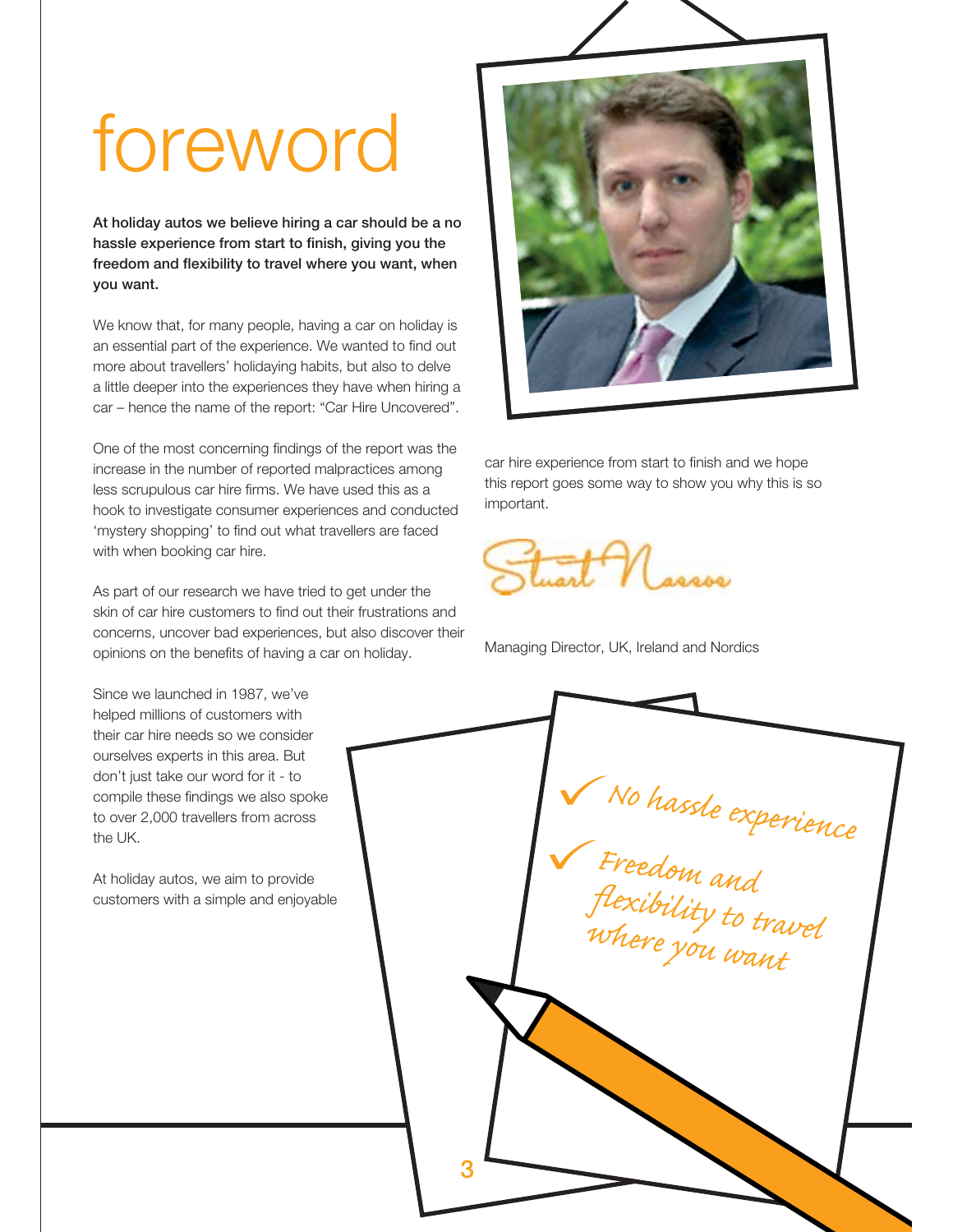## foreword

**At holiday autos we believe hiring a car should be a no hassle experience from start to finish, giving you the freedom and flexibility to travel where you want, when you want.** 

We know that, for many people, having a car on holiday is an essential part of the experience. We wanted to find out more about travellers' holidaying habits, but also to delve a little deeper into the experiences they have when hiring a car – hence the name of the report: "Car Hire Uncovered".

One of the most concerning findings of the report was the increase in the number of reported malpractices among less scrupulous car hire firms. We have used this as a hook to investigate consumer experiences and conducted 'mystery shopping' to find out what travellers are faced with when booking car hire.

As part of our research we have tried to get under the skin of car hire customers to find out their frustrations and concerns, uncover bad experiences, but also discover their opinions on the benefits of having a car on holiday.

Since we launched in 1987, we've helped millions of customers with their car hire needs so we consider ourselves experts in this area. But don't just take our word for it - to compile these findings we also spoke to over 2,000 travellers from across the UK.

At holiday autos, we aim to provide customers with a simple and enjoyable



car hire experience from start to finish and we hope this report goes some way to show you why this is so important.



Managing Director, UK, Ireland and Nordics

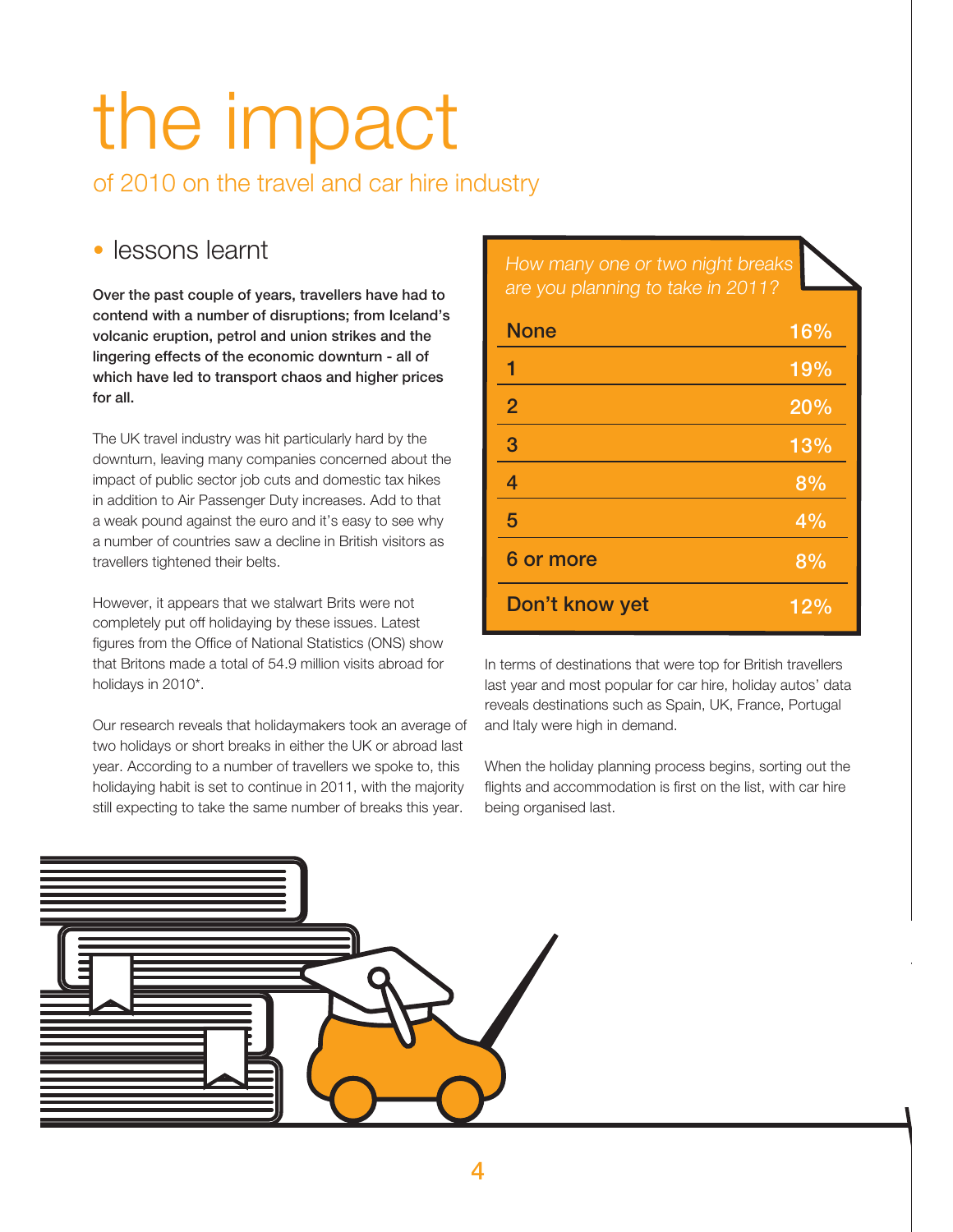## the impact

of 2010 on the travel and car hire industry

### lessons learnt

**Over the past couple of years, travellers have had to contend with a number of disruptions; from Iceland's volcanic eruption, petrol and union strikes and the lingering effects of the economic downturn - all of which have led to transport chaos and higher prices for all.**

The UK travel industry was hit particularly hard by the downturn, leaving many companies concerned about the impact of public sector job cuts and domestic tax hikes in addition to Air Passenger Duty increases. Add to that a weak pound against the euro and it's easy to see why a number of countries saw a decline in British visitors as travellers tightened their belts.

However, it appears that we stalwart Brits were not completely put off holidaying by these issues. Latest figures from the Office of National Statistics (ONS) show that Britons made a total of 54.9 million visits abroad for holidays in 2010\*.

Our research reveals that holidaymakers took an average of two holidays or short breaks in either the UK or abroad last year. According to a number of travellers we spoke to, this holidaying habit is set to continue in 2011, with the majority still expecting to take the same number of breaks this year.

How many one or two night breaks are you planning to take in 2011?

| <b>None</b>    | 16% |
|----------------|-----|
| 1              | 19% |
| $\overline{2}$ | 20% |
| 3              | 13% |
| 4              | 8%  |
| 5              | 4%  |
| 6 or more      | 8%  |
| Don't know yet | 12% |

In terms of destinations that were top for British travellers last year and most popular for car hire, holiday autos' data reveals destinations such as Spain, UK, France, Portugal and Italy were high in demand.

When the holiday planning process begins, sorting out the flights and accommodation is first on the list, with car hire being organised last.

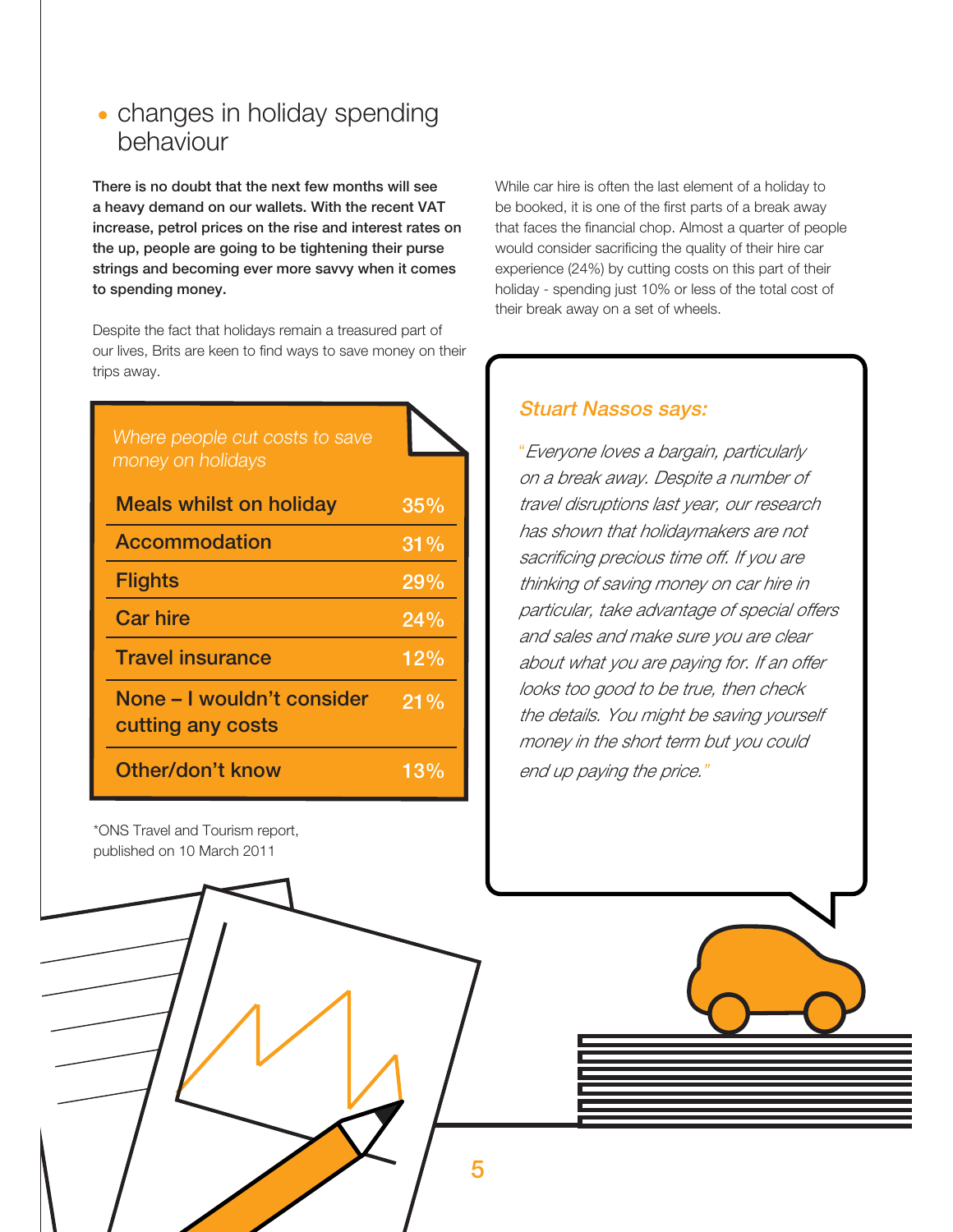### • changes in holiday spending behaviour

**There is no doubt that the next few months will see a heavy demand on our wallets. With the recent VAT increase, petrol prices on the rise and interest rates on the up, people are going to be tightening their purse strings and becoming ever more savvy when it comes to spending money.**

Despite the fact that holidays remain a treasured part of our lives, Brits are keen to find ways to save money on their trips away.

| Where people cut costs to save<br>money on holidays |     |
|-----------------------------------------------------|-----|
| <b>Meals whilst on holiday</b>                      | 35% |
| Accommodation                                       | 31% |
| <b>Flights</b>                                      | 29% |
| <b>Car hire</b>                                     | 24% |
| <b>Travel insurance</b>                             | 12% |
| None - I wouldn't consider<br>cutting any costs     | 21% |
| Other/don't know                                    | 13% |

\*ONS Travel and Tourism report, published on 10 March 2011

While car hire is often the last element of a holiday to be booked, it is one of the first parts of a break away that faces the financial chop. Almost a quarter of people would consider sacrificing the quality of their hire car experience (24%) by cutting costs on this part of their holiday - spending just 10% or less of the total cost of their break away on a set of wheels.

#### **Stuart Nassos says:**

"Everyone loves a bargain, particularly on a break away. Despite a number of travel disruptions last year, our research has shown that holidaymakers are not sacrificing precious time off. If you are thinking of saving money on car hire in particular, take advantage of special offers and sales and make sure you are clear about what you are paying for. If an offer looks too good to be true, then check the details. You might be saving yourself money in the short term but you could end up paying the price."

**5**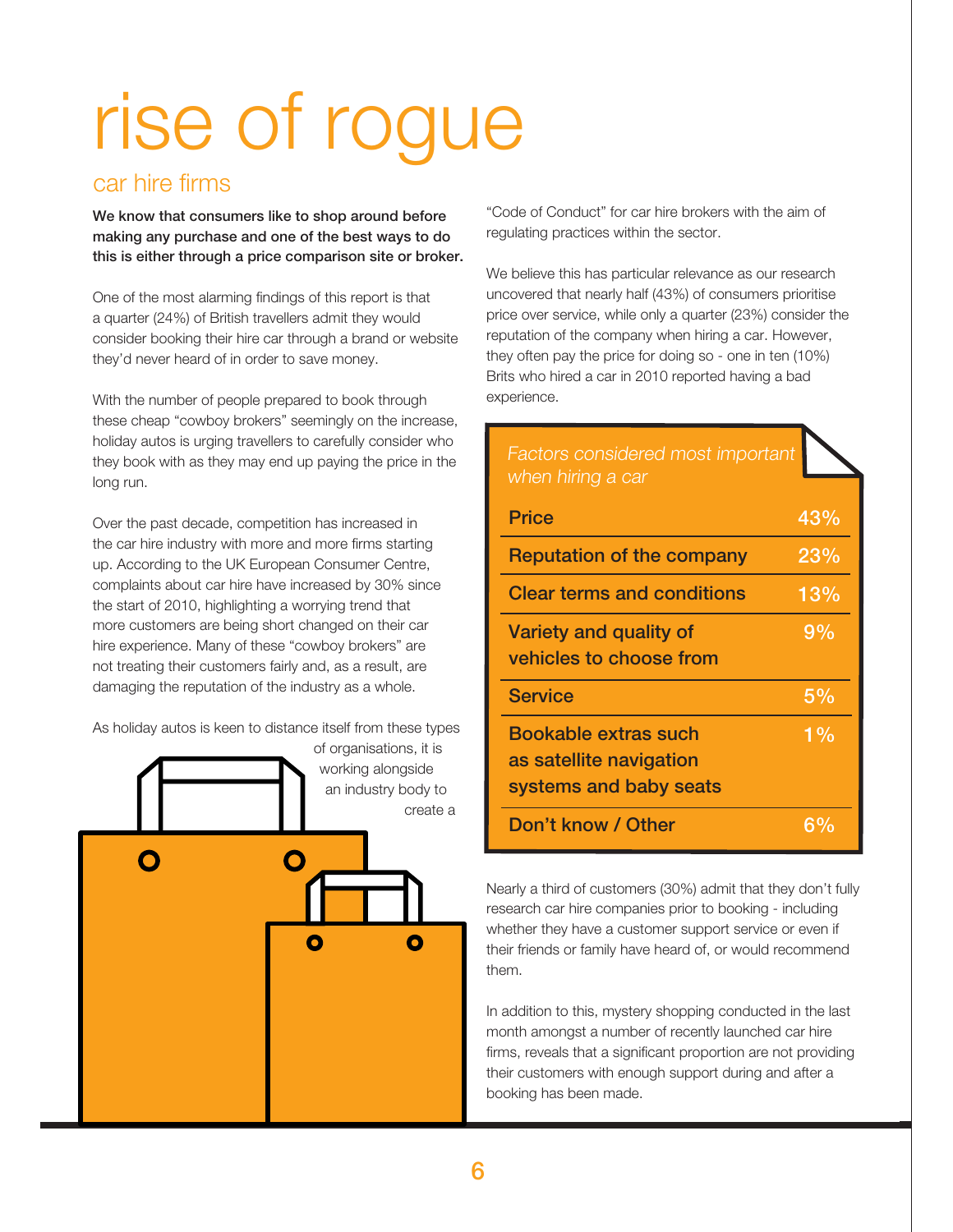# rise of rogue

### car hire firms

**We know that consumers like to shop around before making any purchase and one of the best ways to do this is either through a price comparison site or broker.**

One of the most alarming findings of this report is that a quarter (24%) of British travellers admit they would consider booking their hire car through a brand or website they'd never heard of in order to save money.

With the number of people prepared to book through these cheap "cowboy brokers" seemingly on the increase, holiday autos is urging travellers to carefully consider who they book with as they may end up paying the price in the long run.

Over the past decade, competition has increased in the car hire industry with more and more firms starting up. According to the UK European Consumer Centre, complaints about car hire have increased by 30% since the start of 2010, highlighting a worrying trend that more customers are being short changed on their car hire experience. Many of these "cowboy brokers" are not treating their customers fairly and, as a result, are damaging the reputation of the industry as a whole.

As holiday autos is keen to distance itself from these types



"Code of Conduct" for car hire brokers with the aim of regulating practices within the sector.

We believe this has particular relevance as our research uncovered that nearly half (43%) of consumers prioritise price over service, while only a quarter (23%) consider the reputation of the company when hiring a car. However, they often pay the price for doing so - one in ten (10%) Brits who hired a car in 2010 reported having a bad experience.

| Factors considered most important<br>when hiring a car                    |       |
|---------------------------------------------------------------------------|-------|
| <b>Price</b>                                                              | 43%   |
| <b>Reputation of the company</b>                                          | 23%   |
| <b>Clear terms and conditions</b>                                         | 13%   |
| Variety and quality of<br>vehicles to choose from                         | 9%    |
| <b>Service</b>                                                            | 5%    |
| Bookable extras such<br>as satellite navigation<br>systems and baby seats | $1\%$ |
| Don't know / Other                                                        |       |

Nearly a third of customers (30%) admit that they don't fully research car hire companies prior to booking - including whether they have a customer support service or even if their friends or family have heard of, or would recommend them.

In addition to this, mystery shopping conducted in the last month amongst a number of recently launched car hire firms, reveals that a significant proportion are not providing their customers with enough support during and after a booking has been made.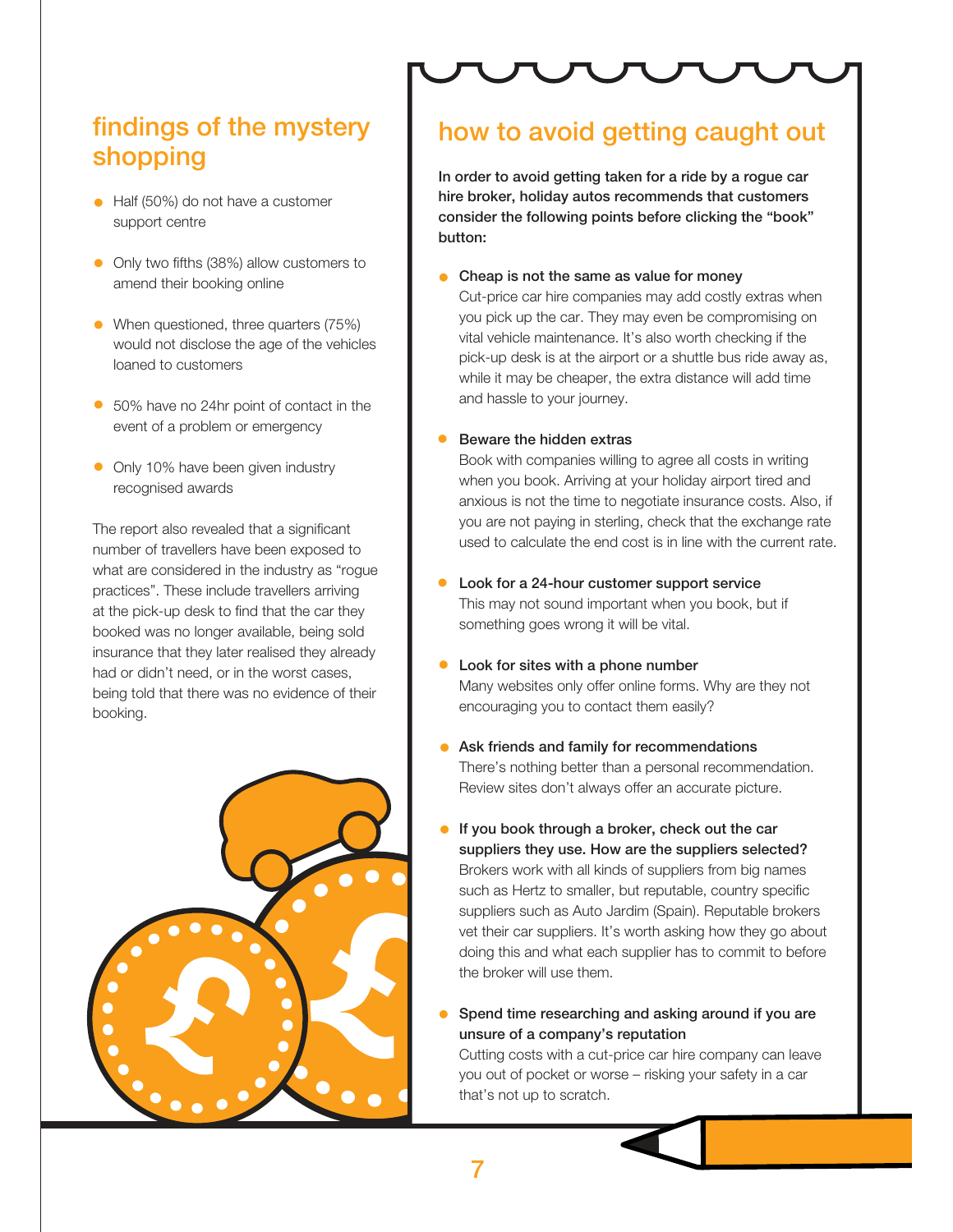## **findings of the mystery shopping**

- Half (50%) do not have a customer support centre
- Only two fifths (38%) allow customers to amend their booking online
- When questioned, three quarters (75%) would not disclose the age of the vehicles loaned to customers
- 50% have no 24hr point of contact in the event of a problem or emergency
- Only 10% have been given industry recognised awards

The report also revealed that a significant number of travellers have been exposed to what are considered in the industry as "rogue practices". These include travellers arriving at the pick-up desk to find that the car they booked was no longer available, being sold insurance that they later realised they already had or didn't need, or in the worst cases, being told that there was no evidence of their booking.



### **how to avoid getting caught out**

**In order to avoid getting taken for a ride by a rogue car hire broker, holiday autos recommends that customers consider the following points before clicking the "book" button:**

**Cheap is not the same as value for money** 

Cut-price car hire companies may add costly extras when you pick up the car. They may even be compromising on vital vehicle maintenance. It's also worth checking if the pick-up desk is at the airport or a shuttle bus ride away as, while it may be cheaper, the extra distance will add time and hassle to your journey.

#### **Beware the hidden extras**

Book with companies willing to agree all costs in writing when you book. Arriving at your holiday airport tired and anxious is not the time to negotiate insurance costs. Also, if you are not paying in sterling, check that the exchange rate used to calculate the end cost is in line with the current rate.

- **Look for a 24-hour customer support service**  This may not sound important when you book, but if something goes wrong it will be vital.
- **Look for sites with a phone number**  Many websites only offer online forms. Why are they not encouraging you to contact them easily?
- **Ask friends and family for recommendations**  There's nothing better than a personal recommendation. Review sites don't always offer an accurate picture.
- **If you book through a broker, check out the car suppliers they use. How are the suppliers selected?**  Brokers work with all kinds of suppliers from big names such as Hertz to smaller, but reputable, country specific suppliers such as Auto Jardim (Spain). Reputable brokers vet their car suppliers. It's worth asking how they go about doing this and what each supplier has to commit to before the broker will use them.
- **Spend time researching and asking around if you are unsure of a company's reputation**

Cutting costs with a cut-price car hire company can leave you out of pocket or worse – risking your safety in a car that's not up to scratch.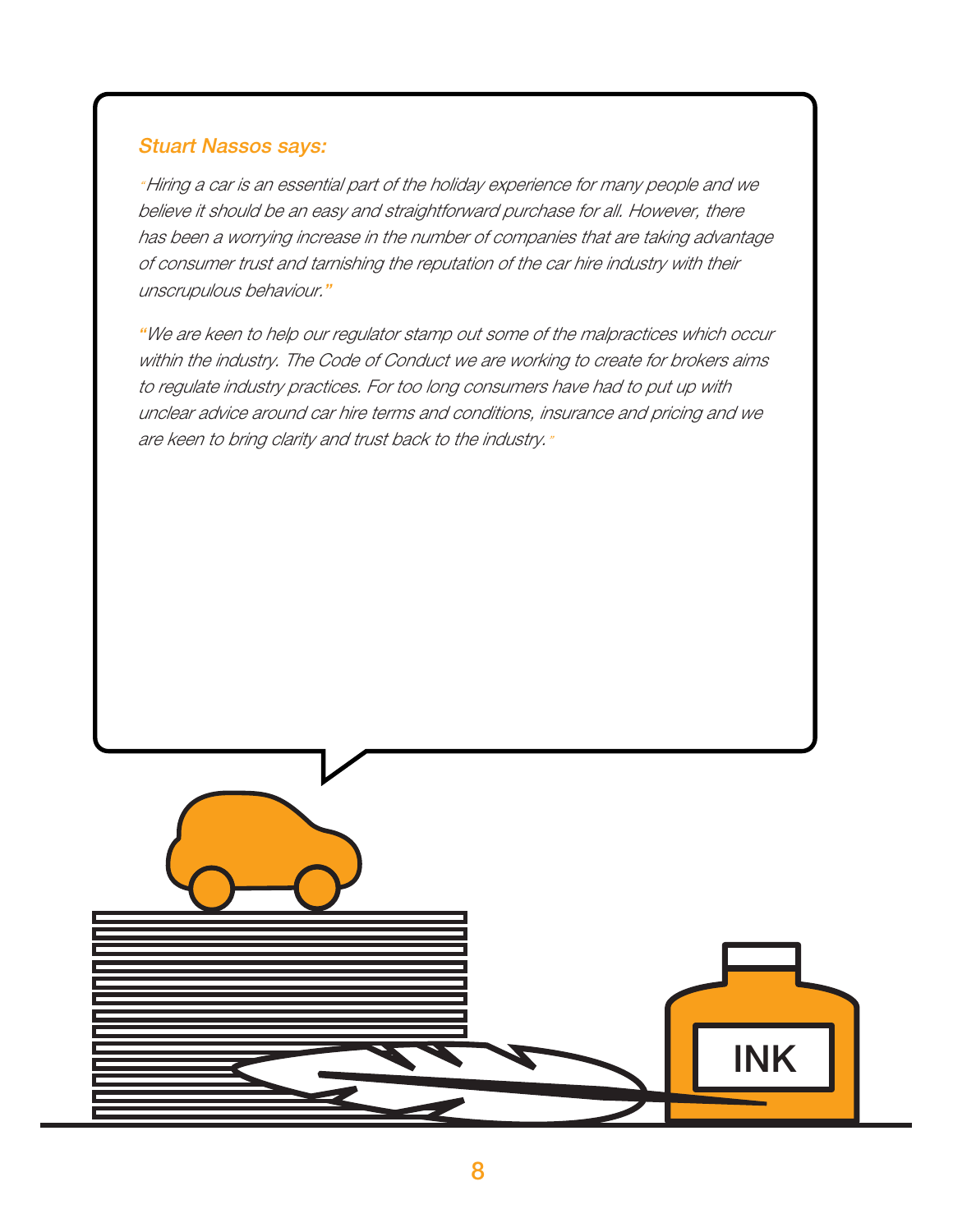### **Stuart Nassos says:**

" Hiring a car is an essential part of the holiday experience for many people and we believe it should be an easy and straightforward purchase for all. However, there has been a worrying increase in the number of companies that are taking advantage of consumer trust and tarnishing the reputation of the car hire industry with their unscrupulous behaviour.**"**

**"**We are keen to help our regulator stamp out some of the malpractices which occur within the industry. The Code of Conduct we are working to create for brokers aims to regulate industry practices. For too long consumers have had to put up with unclear advice around car hire terms and conditions, insurance and pricing and we are keen to bring clarity and trust back to the industry."

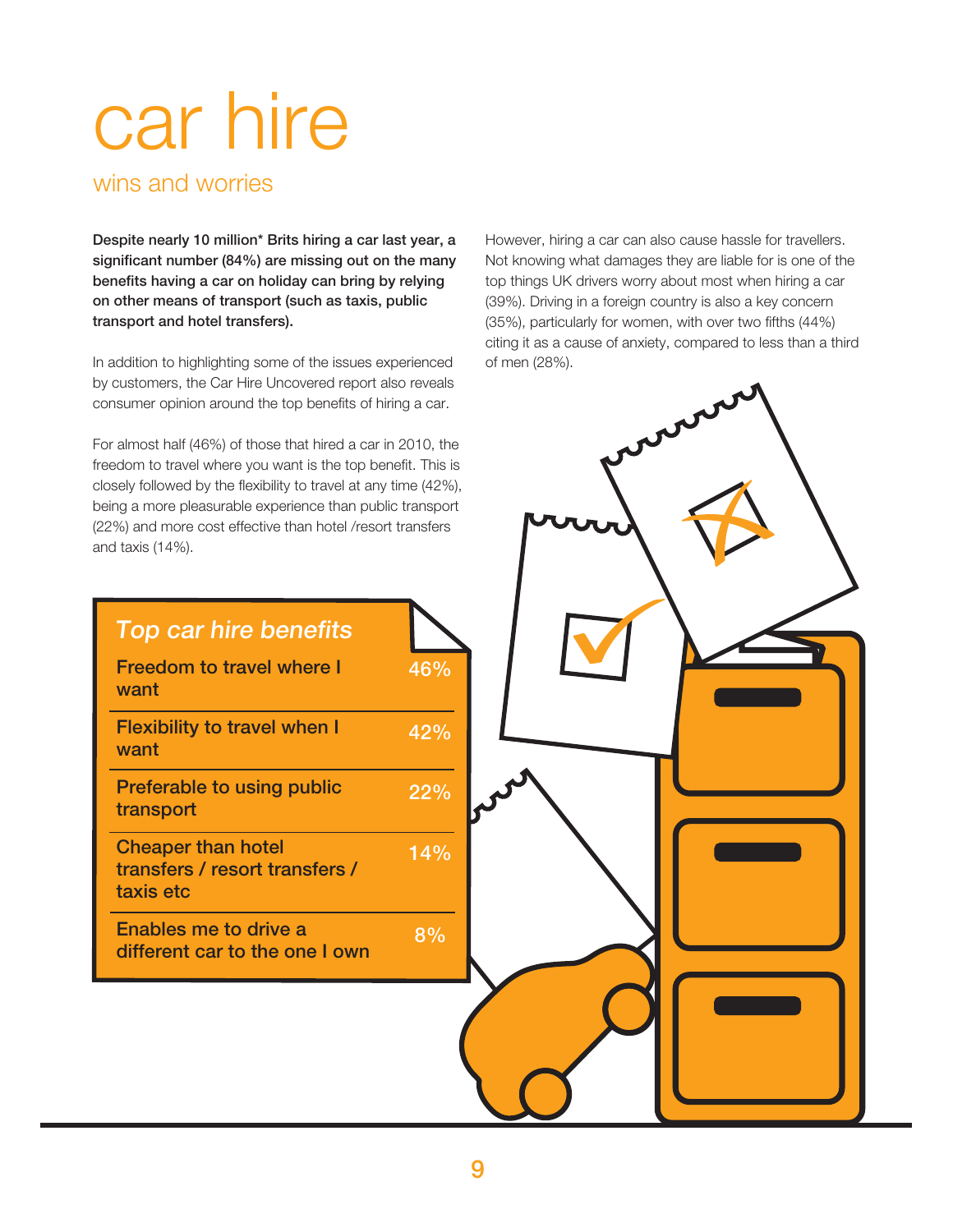## car hire

wins and worries

**want**

**want**

**transport**

**taxis etc**

**Despite nearly 10 million\* Brits hiring a car last year, a significant number (84%) are missing out on the many benefits having a car on holiday can bring by relying on other means of transport (such as taxis, public transport and hotel transfers).**

In addition to highlighting some of the issues experienced by customers, the Car Hire Uncovered report also reveals consumer opinion around the top benefits of hiring a car.

For almost half (46%) of those that hired a car in 2010, the freedom to travel where you want is the top benefit. This is closely followed by the flexibility to travel at any time (42%), being a more pleasurable experience than public transport (22%) and more cost effective than hotel /resort transfers and taxis (14%).

However, hiring a car can also cause hassle for travellers. Not knowing what damages they are liable for is one of the top things UK drivers worry about most when hiring a car (39%). Driving in a foreign country is also a key concern (35%), particularly for women, with over two fifths (44%) citing it as a cause of anxiety, compared to less than a third of men (28%).

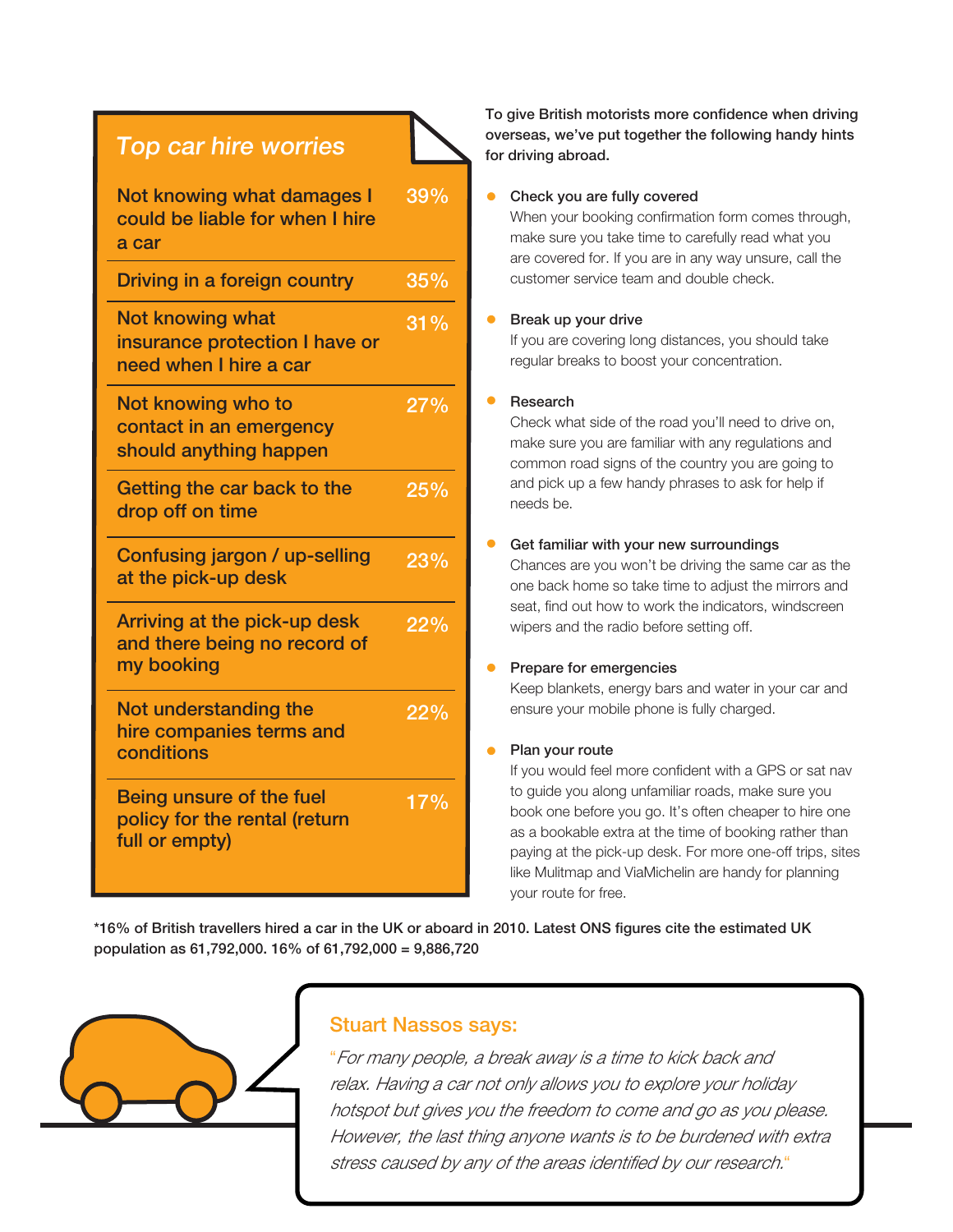### **Top car hire worries**

| Not knowing what damages I<br>could be liable for when I hire<br>a car              | 39% |
|-------------------------------------------------------------------------------------|-----|
| Driving in a foreign country                                                        | 35% |
| <b>Not knowing what</b><br>insurance protection I have or<br>need when I hire a car | 31% |
| Not knowing who to<br>contact in an emergency<br>should anything happen             | 27% |
| Getting the car back to the<br>drop off on time                                     | 25% |
| Confusing jargon / up-selling<br>at the pick-up desk                                | 23% |
| Arriving at the pick-up desk<br>and there being no record of<br>my booking          | 22% |
| Not understanding the<br>hire companies terms and<br>conditions                     | 22% |
| Being unsure of the fuel<br>policy for the rental (return<br>full or empty)         | 17% |

**To give British motorists more confidence when driving overseas, we've put together the following handy hints for driving abroad.**

#### **Check you are fully covered**

When your booking confirmation form comes through, make sure you take time to carefully read what you are covered for. If you are in any way unsure, call the customer service team and double check.

#### **Break up your drive**

If you are covering long distances, you should take regular breaks to boost your concentration.

#### **Research**

Check what side of the road you'll need to drive on, make sure you are familiar with any regulations and common road signs of the country you are going to and pick up a few handy phrases to ask for help if needs be.

#### **Get familiar with your new surroundings**

Chances are you won't be driving the same car as the one back home so take time to adjust the mirrors and seat, find out how to work the indicators, windscreen wipers and the radio before setting off.

#### **Prepare for emergencies**

Keep blankets, energy bars and water in your car and ensure your mobile phone is fully charged.

#### **Plan your route**

If you would feel more confident with a GPS or sat nav to guide you along unfamiliar roads, make sure you book one before you go. It's often cheaper to hire one as a bookable extra at the time of booking rather than paying at the pick-up desk. For more one-off trips, sites like Mulitmap and ViaMichelin are handy for planning your route for free.

**\*16% of British travellers hired a car in the UK or aboard in 2010. Latest ONS figures cite the estimated UK population as 61,792,000. 16% of 61,792,000 = 9,886,720**



#### **Stuart Nassos says:**

**10** stress caused by any of the areas identified by our research.""For many people, a break away is a time to kick back and relax. Having a car not only allows you to explore your holiday hotspot but gives you the freedom to come and go as you please. However, the last thing anyone wants is to be burdened with extra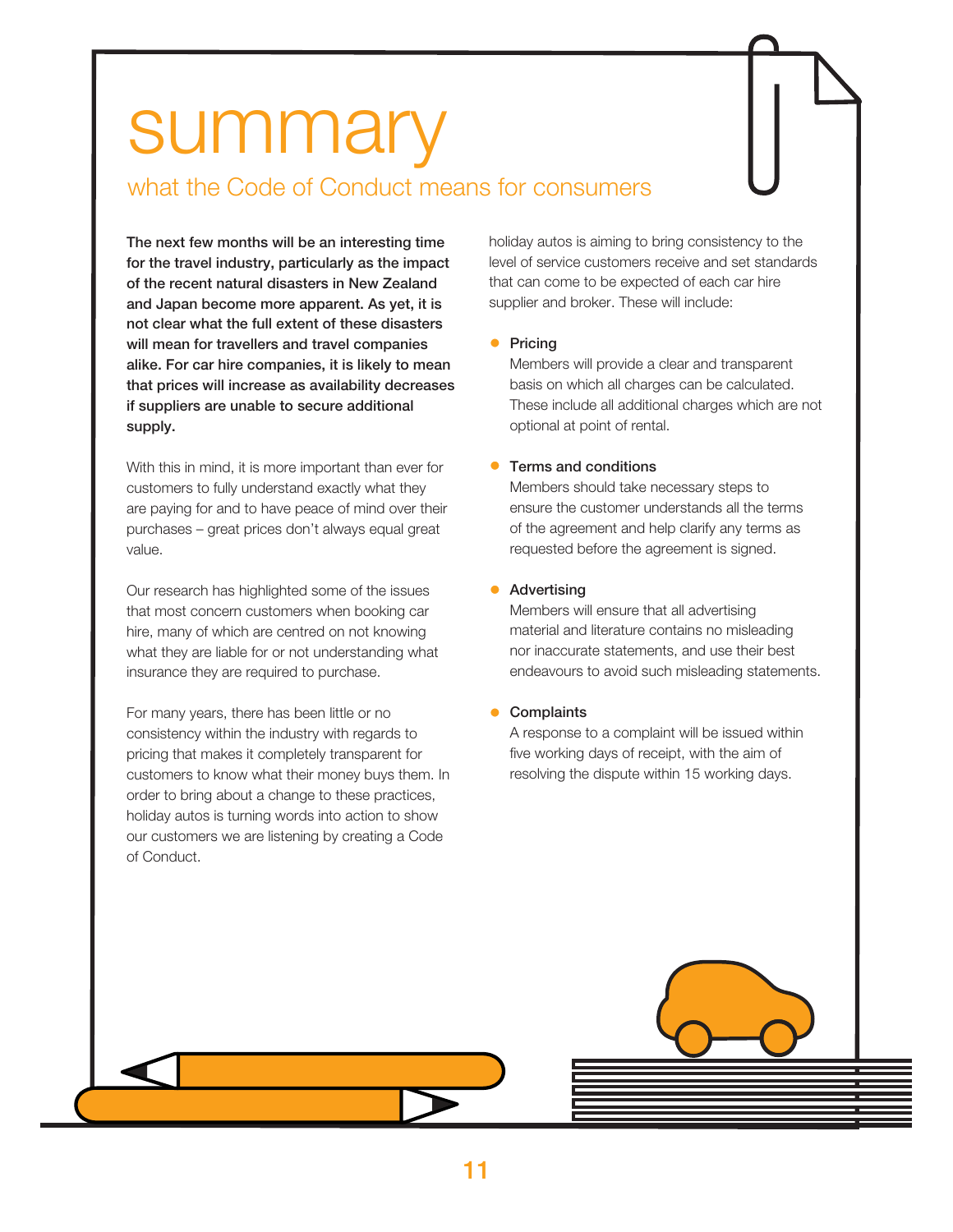## summary

### what the Code of Conduct means for consumers

**The next few months will be an interesting time for the travel industry, particularly as the impact of the recent natural disasters in New Zealand and Japan become more apparent. As yet, it is not clear what the full extent of these disasters will mean for travellers and travel companies alike. For car hire companies, it is likely to mean that prices will increase as availability decreases if suppliers are unable to secure additional supply.** 

With this in mind, it is more important than ever for customers to fully understand exactly what they are paying for and to have peace of mind over their purchases – great prices don't always equal great value.

Our research has highlighted some of the issues that most concern customers when booking car hire, many of which are centred on not knowing what they are liable for or not understanding what insurance they are required to purchase.

For many years, there has been little or no consistency within the industry with regards to pricing that makes it completely transparent for customers to know what their money buys them. In order to bring about a change to these practices, holiday autos is turning words into action to show our customers we are listening by creating a Code of Conduct.

holiday autos is aiming to bring consistency to the level of service customers receive and set standards that can come to be expected of each car hire supplier and broker. These will include:

#### **•** Pricing

Members will provide a clear and transparent basis on which all charges can be calculated. These include all additional charges which are not optional at point of rental.

#### **Terms and conditions**

Members should take necessary steps to ensure the customer understands all the terms of the agreement and help clarify any terms as requested before the agreement is signed.

#### **Advertising**

Members will ensure that all advertising material and literature contains no misleading nor inaccurate statements, and use their best endeavours to avoid such misleading statements.

**Complaints** 

A response to a complaint will be issued within five working days of receipt, with the aim of resolving the dispute within 15 working days.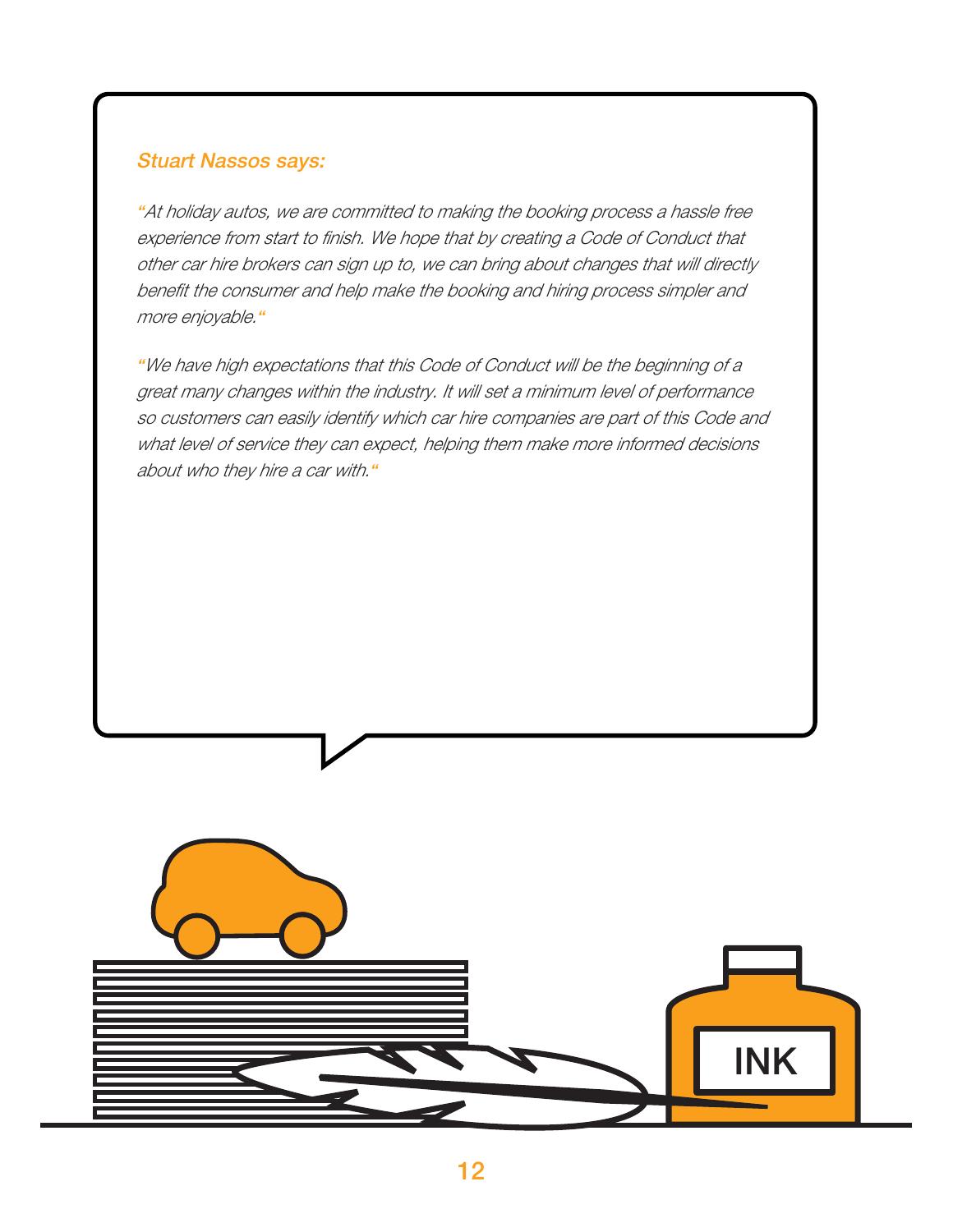### **Stuart Nassos says:**

**"**At holiday autos, we are committed to making the booking process a hassle free experience from start to finish. We hope that by creating a Code of Conduct that other car hire brokers can sign up to, we can bring about changes that will directly benefit the consumer and help make the booking and hiring process simpler and more enjoyable.**"**

**"**We have high expectations that this Code of Conduct will be the beginning of a great many changes within the industry. It will set a minimum level of performance so customers can easily identify which car hire companies are part of this Code and what level of service they can expect, helping them make more informed decisions about who they hire a car with.**"**

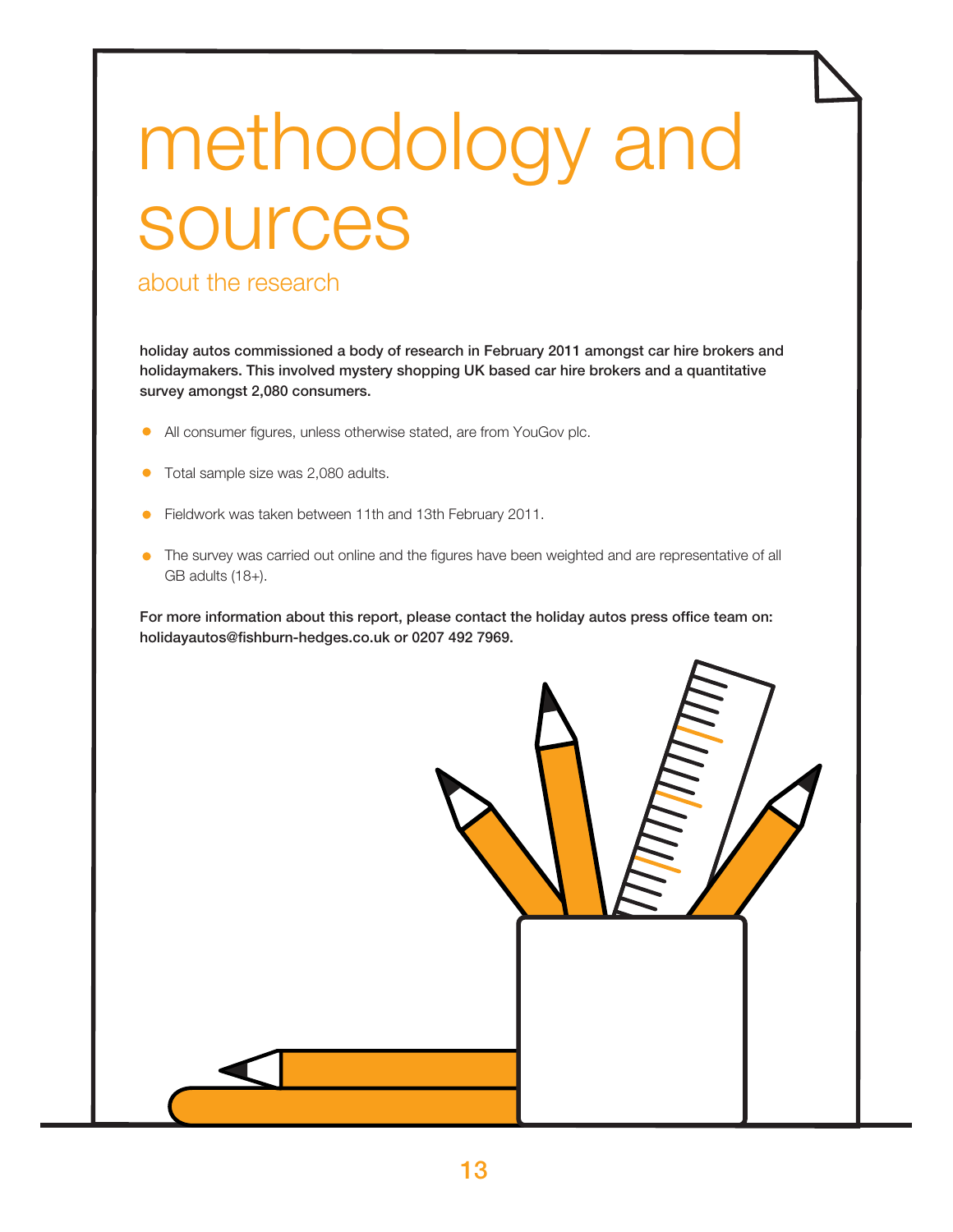## methodology and sources

### about the research

**holiday autos commissioned a body of research in February 2011 amongst car hire brokers and holidaymakers. This involved mystery shopping UK based car hire brokers and a quantitative survey amongst 2,080 consumers.** 

- $\bullet$ All consumer figures, unless otherwise stated, are from YouGov plc.
- Total sample size was 2,080 adults.  $\bullet$
- Fieldwork was taken between 11th and 13th February 2011.  $\bullet$
- The survey was carried out online and the figures have been weighted and are representative of all  $\bullet$ GB adults (18+).

**For more information about this report, please contact the holiday autos press office team on: holidayautos@fishburn-hedges.co.uk or 0207 492 7969.**